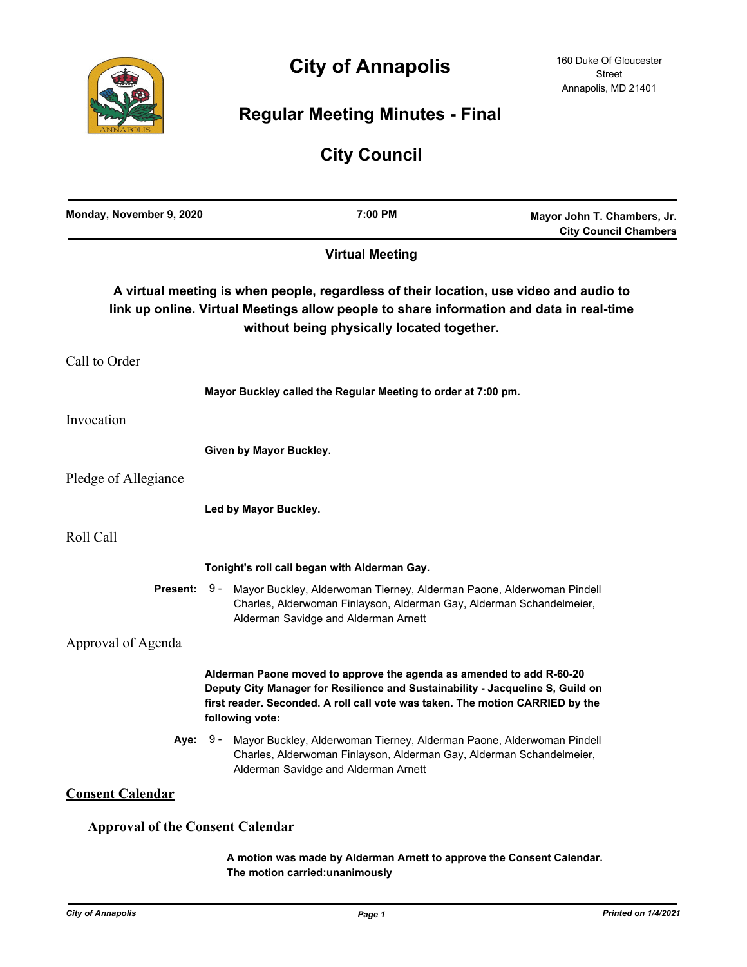

# **City of Annapolis**

# **Regular Meeting Minutes - Final**

# **City Council**

| Monday, November 9, 2020                | 7:00 PM                                                                                                                                                                                                                                                    | Mayor John T. Chambers, Jr.<br><b>City Council Chambers</b>                              |
|-----------------------------------------|------------------------------------------------------------------------------------------------------------------------------------------------------------------------------------------------------------------------------------------------------------|------------------------------------------------------------------------------------------|
|                                         | <b>Virtual Meeting</b>                                                                                                                                                                                                                                     |                                                                                          |
|                                         | A virtual meeting is when people, regardless of their location, use video and audio to<br>without being physically located together.                                                                                                                       | link up online. Virtual Meetings allow people to share information and data in real-time |
| Call to Order                           |                                                                                                                                                                                                                                                            |                                                                                          |
|                                         | Mayor Buckley called the Regular Meeting to order at 7:00 pm.                                                                                                                                                                                              |                                                                                          |
| Invocation                              |                                                                                                                                                                                                                                                            |                                                                                          |
|                                         | Given by Mayor Buckley.                                                                                                                                                                                                                                    |                                                                                          |
| Pledge of Allegiance                    |                                                                                                                                                                                                                                                            |                                                                                          |
|                                         | Led by Mayor Buckley.                                                                                                                                                                                                                                      |                                                                                          |
| Roll Call                               |                                                                                                                                                                                                                                                            |                                                                                          |
|                                         | Tonight's roll call began with Alderman Gay.                                                                                                                                                                                                               |                                                                                          |
| <b>Present: 9 -</b>                     | Mayor Buckley, Alderwoman Tierney, Alderman Paone, Alderwoman Pindell<br>Charles, Alderwoman Finlayson, Alderman Gay, Alderman Schandelmeier,<br>Alderman Savidge and Alderman Arnett                                                                      |                                                                                          |
| Approval of Agenda                      |                                                                                                                                                                                                                                                            |                                                                                          |
|                                         | Alderman Paone moved to approve the agenda as amended to add R-60-20<br>Deputy City Manager for Resilience and Sustainability - Jacqueline S, Guild on<br>first reader. Seconded. A roll call vote was taken. The motion CARRIED by the<br>following vote: |                                                                                          |
|                                         | Aye: 9 - Mayor Buckley, Alderwoman Tierney, Alderman Paone, Alderwoman Pindell<br>Charles, Alderwoman Finlayson, Alderman Gay, Alderman Schandelmeier,<br>Alderman Savidge and Alderman Arnett                                                             |                                                                                          |
| <b>Consent Calendar</b>                 |                                                                                                                                                                                                                                                            |                                                                                          |
| <b>Approval of the Consent Calendar</b> |                                                                                                                                                                                                                                                            |                                                                                          |
|                                         | A motion was made by Alderman Arnett to approve the Consent Calendar.                                                                                                                                                                                      |                                                                                          |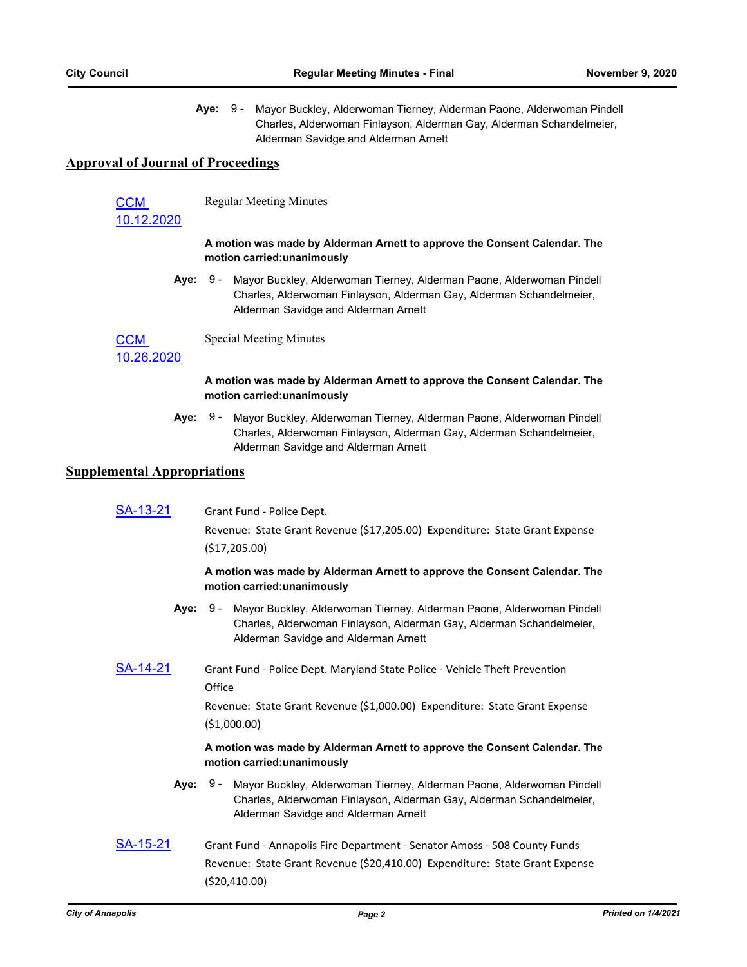Aye: 9 - Mayor Buckley, Alderwoman Tierney, Alderman Paone, Alderwoman Pindell Charles, Alderwoman Finlayson, Alderman Gay, Alderman Schandelmeier, Alderman Savidge and Alderman Arnett

## **Approval of Journal of Proceedings**

CCM

Regular Meeting Minutes

### [10.12.2020](http://annapolismd.legistar.com/gateway.aspx?m=l&id=/matter.aspx?key=5003)

#### **A motion was made by Alderman Arnett to approve the Consent Calendar. The motion carried:unanimously**

**Aye:** Mayor Buckley, Alderwoman Tierney, Alderman Paone, Alderwoman Pindell Charles, Alderwoman Finlayson, Alderman Gay, Alderman Schandelmeier, Alderman Savidge and Alderman Arnett Aye: 9 -

**CCM** Special Meeting Minutes

[10.26.2020](http://annapolismd.legistar.com/gateway.aspx?m=l&id=/matter.aspx?key=5004)

## **A motion was made by Alderman Arnett to approve the Consent Calendar. The motion carried:unanimously**

Aye: 9 - Mayor Buckley, Alderwoman Tierney, Alderman Paone, Alderwoman Pindell Charles, Alderwoman Finlayson, Alderman Gay, Alderman Schandelmeier, Alderman Savidge and Alderman Arnett

## **Supplemental Appropriations**

[SA-13-21](http://annapolismd.legistar.com/gateway.aspx?m=l&id=/matter.aspx?key=5010) Grant Fund - Police Dept.

Revenue: State Grant Revenue (\$17,205.00) Expenditure: State Grant Expense (\$17,205.00)

#### **A motion was made by Alderman Arnett to approve the Consent Calendar. The motion carried:unanimously**

- **Aye:** Mayor Buckley, Alderwoman Tierney, Alderman Paone, Alderwoman Pindell Charles, Alderwoman Finlayson, Alderman Gay, Alderman Schandelmeier, Alderman Savidge and Alderman Arnett Aye: 9 -
- [SA-14-21](http://annapolismd.legistar.com/gateway.aspx?m=l&id=/matter.aspx?key=5011) Grant Fund Police Dept. Maryland State Police Vehicle Theft Prevention **Office**

Revenue: State Grant Revenue (\$1,000.00) Expenditure: State Grant Expense (\$1,000.00)

#### **A motion was made by Alderman Arnett to approve the Consent Calendar. The motion carried:unanimously**

- **Aye:** Mayor Buckley, Alderwoman Tierney, Alderman Paone, Alderwoman Pindell Charles, Alderwoman Finlayson, Alderman Gay, Alderman Schandelmeier, Alderman Savidge and Alderman Arnett Aye: 9 -
- [SA-15-21](http://annapolismd.legistar.com/gateway.aspx?m=l&id=/matter.aspx?key=5012) Grant Fund Annapolis Fire Department Senator Amoss 508 County Funds Revenue: State Grant Revenue (\$20,410.00) Expenditure: State Grant Expense (\$20,410.00)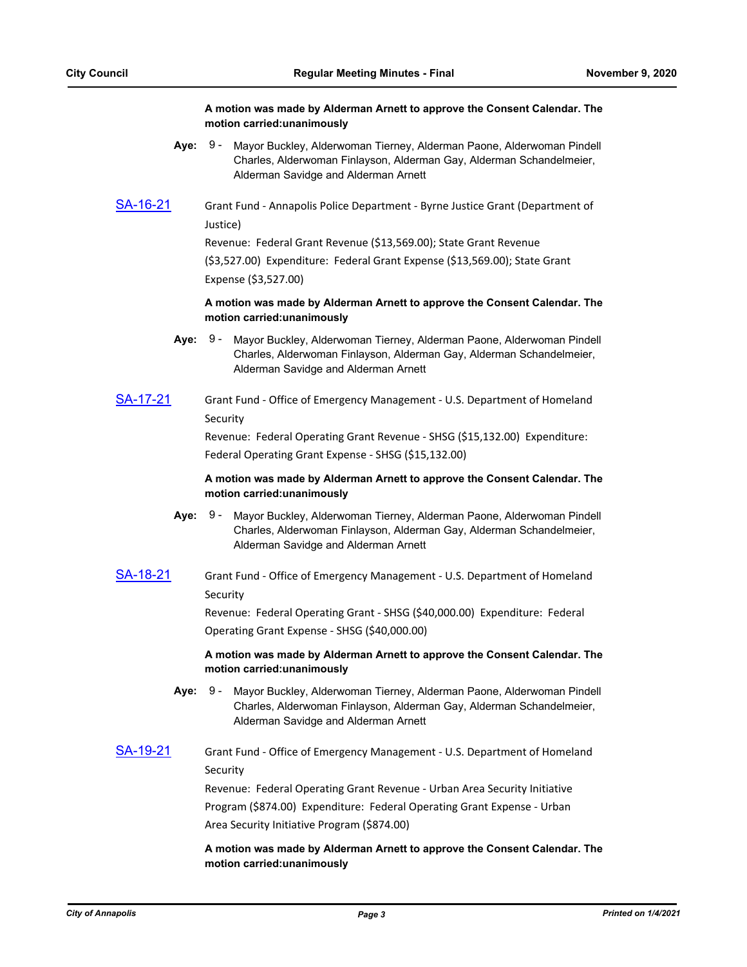#### **A motion was made by Alderman Arnett to approve the Consent Calendar. The motion carried:unanimously**

- **Aye:** Mayor Buckley, Alderwoman Tierney, Alderman Paone, Alderwoman Pindell Charles, Alderwoman Finlayson, Alderman Gay, Alderman Schandelmeier, Alderman Savidge and Alderman Arnett Aye: 9 -
- [SA-16-21](http://annapolismd.legistar.com/gateway.aspx?m=l&id=/matter.aspx?key=5013) Grant Fund Annapolis Police Department Byrne Justice Grant (Department of Justice)

Revenue: Federal Grant Revenue (\$13,569.00); State Grant Revenue

(\$3,527.00) Expenditure: Federal Grant Expense (\$13,569.00); State Grant Expense (\$3,527.00)

**A motion was made by Alderman Arnett to approve the Consent Calendar. The motion carried:unanimously**

- Aye: 9 Mayor Buckley, Alderwoman Tierney, Alderman Paone, Alderwoman Pindell Charles, Alderwoman Finlayson, Alderman Gay, Alderman Schandelmeier, Alderman Savidge and Alderman Arnett
- [SA-17-21](http://annapolismd.legistar.com/gateway.aspx?m=l&id=/matter.aspx?key=5014) Grant Fund Office of Emergency Management U.S. Department of Homeland Security

Revenue: Federal Operating Grant Revenue - SHSG (\$15,132.00) Expenditure: Federal Operating Grant Expense - SHSG (\$15,132.00)

#### **A motion was made by Alderman Arnett to approve the Consent Calendar. The motion carried:unanimously**

- **Aye:** Mayor Buckley, Alderwoman Tierney, Alderman Paone, Alderwoman Pindell Charles, Alderwoman Finlayson, Alderman Gay, Alderman Schandelmeier, Alderman Savidge and Alderman Arnett Aye: 9 -
- [SA-18-21](http://annapolismd.legistar.com/gateway.aspx?m=l&id=/matter.aspx?key=5015) Grant Fund Office of Emergency Management U.S. Department of Homeland Security

Revenue: Federal Operating Grant - SHSG (\$40,000.00) Expenditure: Federal Operating Grant Expense - SHSG (\$40,000.00)

## **A motion was made by Alderman Arnett to approve the Consent Calendar. The motion carried:unanimously**

- **Aye:** Mayor Buckley, Alderwoman Tierney, Alderman Paone, Alderwoman Pindell Charles, Alderwoman Finlayson, Alderman Gay, Alderman Schandelmeier, Alderman Savidge and Alderman Arnett Aye: 9 -
- [SA-19-21](http://annapolismd.legistar.com/gateway.aspx?m=l&id=/matter.aspx?key=5016) Grant Fund Office of Emergency Management U.S. Department of Homeland Security

Revenue: Federal Operating Grant Revenue - Urban Area Security Initiative Program (\$874.00) Expenditure: Federal Operating Grant Expense - Urban Area Security Initiative Program (\$874.00)

## **A motion was made by Alderman Arnett to approve the Consent Calendar. The motion carried:unanimously**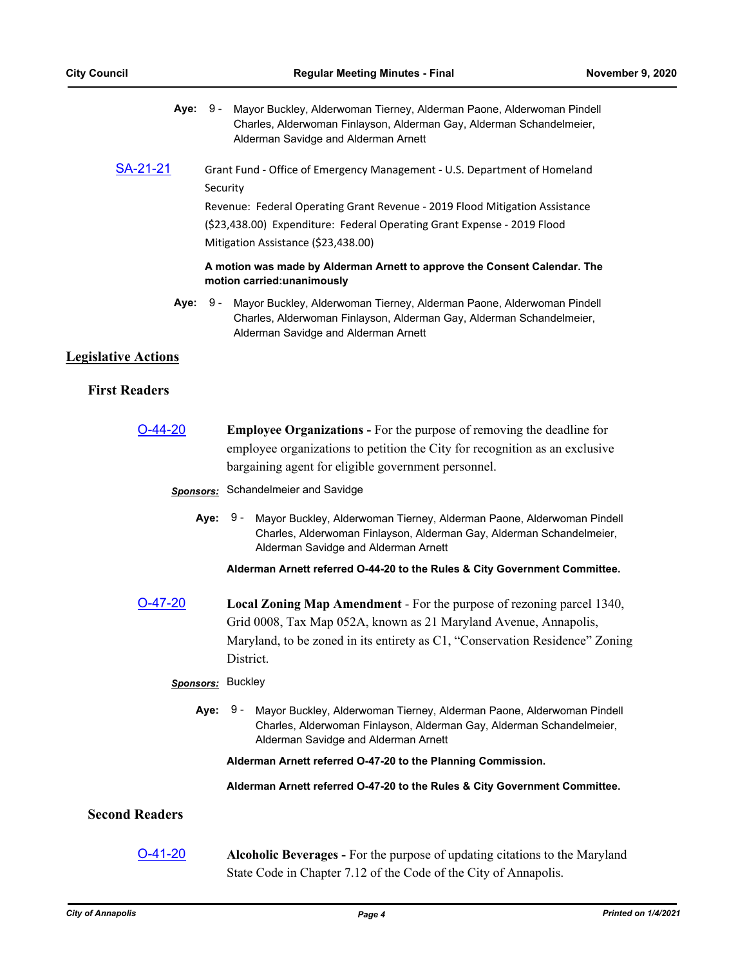|  | Aye: 9 - Mayor Buckley, Alderwoman Tierney, Alderman Paone, Alderwoman Pindell |
|--|--------------------------------------------------------------------------------|
|  | Charles, Alderwoman Finlayson, Alderman Gay, Alderman Schandelmeier,           |
|  | Alderman Savidge and Alderman Arnett                                           |

[SA-21-21](http://annapolismd.legistar.com/gateway.aspx?m=l&id=/matter.aspx?key=5018) Grant Fund - Office of Emergency Management - U.S. Department of Homeland Security Revenue: Federal Operating Grant Revenue - 2019 Flood Mitigation Assistance (\$23,438.00) Expenditure: Federal Operating Grant Expense - 2019 Flood

Mitigation Assistance (\$23,438.00)

#### **A motion was made by Alderman Arnett to approve the Consent Calendar. The motion carried:unanimously**

**Aye:** Mayor Buckley, Alderwoman Tierney, Alderman Paone, Alderwoman Pindell Charles, Alderwoman Finlayson, Alderman Gay, Alderman Schandelmeier, Alderman Savidge and Alderman Arnett Aye: 9 -

## **Legislative Actions**

## **First Readers**

[O-44-20](http://annapolismd.legistar.com/gateway.aspx?m=l&id=/matter.aspx?key=4994) **Employee Organizations -** For the purpose of removing the deadline for employee organizations to petition the City for recognition as an exclusive bargaining agent for eligible government personnel.

## *Sponsors:* Schandelmeier and Savidge

**Aye:** Mayor Buckley, Alderwoman Tierney, Alderman Paone, Alderwoman Pindell Charles, Alderwoman Finlayson, Alderman Gay, Alderman Schandelmeier, Alderman Savidge and Alderman Arnett Aye: 9 -

**Alderman Arnett referred O-44-20 to the Rules & City Government Committee.**

[O-47-20](http://annapolismd.legistar.com/gateway.aspx?m=l&id=/matter.aspx?key=5007) **Local Zoning Map Amendment** - For the purpose of rezoning parcel 1340, Grid 0008, Tax Map 052A, known as 21 Maryland Avenue, Annapolis, Maryland, to be zoned in its entirety as C1, "Conservation Residence" Zoning District.

### *Sponsors:* Buckley

**Aye:** Mayor Buckley, Alderwoman Tierney, Alderman Paone, Alderwoman Pindell Charles, Alderwoman Finlayson, Alderman Gay, Alderman Schandelmeier, Alderman Savidge and Alderman Arnett Aye: 9 -

#### **Alderman Arnett referred O-47-20 to the Planning Commission.**

**Alderman Arnett referred O-47-20 to the Rules & City Government Committee.**

## **Second Readers**

## [O-41-20](http://annapolismd.legistar.com/gateway.aspx?m=l&id=/matter.aspx?key=4958) **Alcoholic Beverages -** For the purpose of updating citations to the Maryland State Code in Chapter 7.12 of the Code of the City of Annapolis.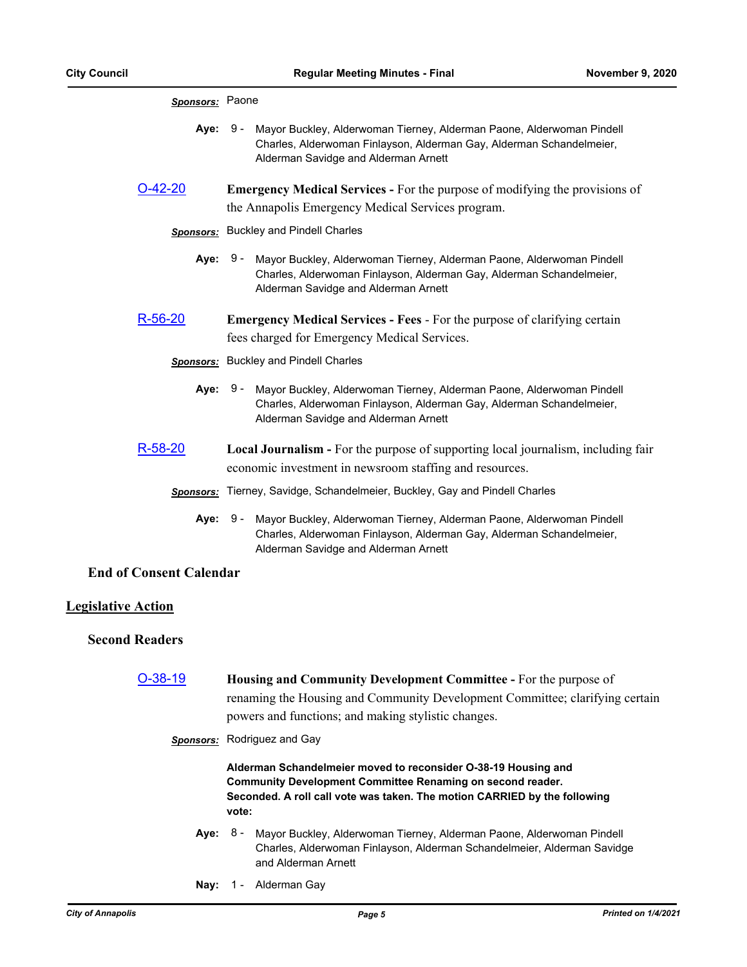|                                | Sponsors: Paone                                                                                                                                                                                |  |
|--------------------------------|------------------------------------------------------------------------------------------------------------------------------------------------------------------------------------------------|--|
| Aye:                           | $9 -$<br>Mayor Buckley, Alderwoman Tierney, Alderman Paone, Alderwoman Pindell<br>Charles, Alderwoman Finlayson, Alderman Gay, Alderman Schandelmeier,<br>Alderman Savidge and Alderman Arnett |  |
| O-42-20                        | <b>Emergency Medical Services - For the purpose of modifying the provisions of</b><br>the Annapolis Emergency Medical Services program.                                                        |  |
|                                | <b>Sponsors:</b> Buckley and Pindell Charles                                                                                                                                                   |  |
| Aye:                           | 9 -<br>Mayor Buckley, Alderwoman Tierney, Alderman Paone, Alderwoman Pindell<br>Charles, Alderwoman Finlayson, Alderman Gay, Alderman Schandelmeier,<br>Alderman Savidge and Alderman Arnett   |  |
| $R-56-20$                      | <b>Emergency Medical Services - Fees - For the purpose of clarifying certain</b><br>fees charged for Emergency Medical Services.                                                               |  |
|                                | Sponsors: Buckley and Pindell Charles                                                                                                                                                          |  |
| Aye:                           | 9 -<br>Mayor Buckley, Alderwoman Tierney, Alderman Paone, Alderwoman Pindell<br>Charles, Alderwoman Finlayson, Alderman Gay, Alderman Schandelmeier,<br>Alderman Savidge and Alderman Arnett   |  |
| R-58-20                        | Local Journalism - For the purpose of supporting local journalism, including fair                                                                                                              |  |
|                                | economic investment in newsroom staffing and resources.                                                                                                                                        |  |
|                                | <b>Sponsors:</b> Tierney, Savidge, Schandelmeier, Buckley, Gay and Pindell Charles                                                                                                             |  |
| Aye:                           | 9 -<br>Mayor Buckley, Alderwoman Tierney, Alderman Paone, Alderwoman Pindell<br>Charles, Alderwoman Finlayson, Alderman Gay, Alderman Schandelmeier,<br>Alderman Savidge and Alderman Arnett   |  |
| <b>End of Consent Calendar</b> |                                                                                                                                                                                                |  |
| <b>Legislative Action</b>      |                                                                                                                                                                                                |  |
| <b>Second Readers</b>          |                                                                                                                                                                                                |  |
| O-38-19                        | Housing and Community Development Committee - For the purpose of                                                                                                                               |  |
|                                | renaming the Housing and Community Development Committee; clarifying certain                                                                                                                   |  |
|                                | powers and functions; and making stylistic changes.                                                                                                                                            |  |
|                                | <b>Sponsors:</b> Rodriguez and Gay                                                                                                                                                             |  |
|                                | Alderman Schandelmeier moved to reconsider O-38-19 Housing and<br>Community Development Committee Renaming on second reader                                                                    |  |

**Community Development Committee Renaming on second reader. Seconded. A roll call vote was taken. The motion CARRIED by the following vote:**

- Aye: 8 Mayor Buckley, Alderwoman Tierney, Alderman Paone, Alderwoman Pindell Charles, Alderwoman Finlayson, Alderman Schandelmeier, Alderman Savidge and Alderman Arnett
- **Nay:** 1 Alderman Gay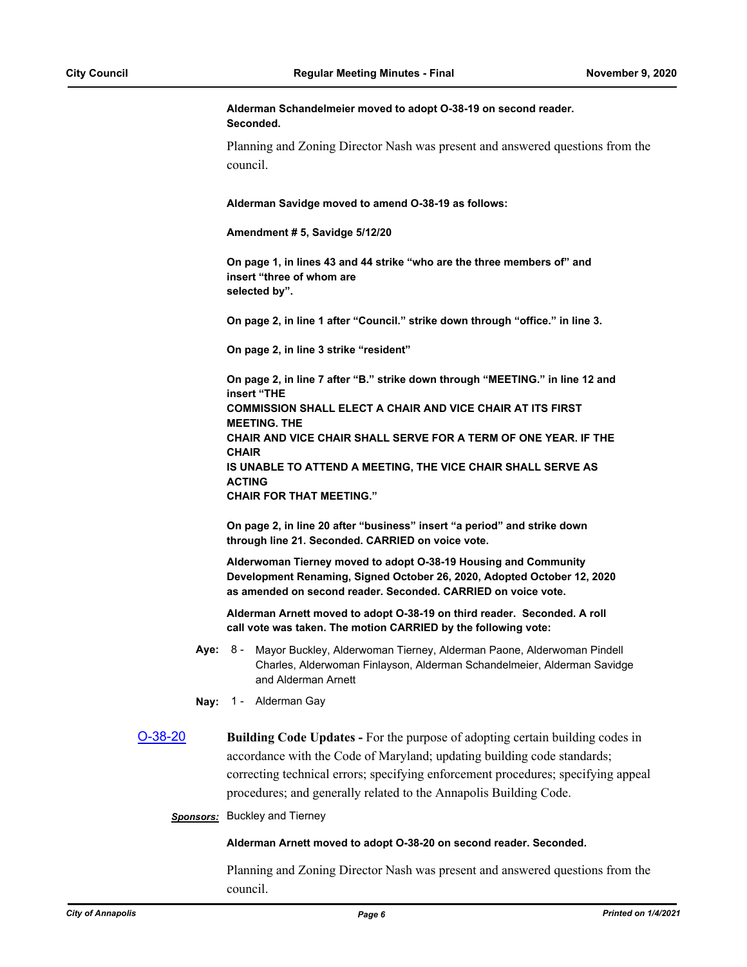**Alderman Schandelmeier moved to adopt O-38-19 on second reader. Seconded.**

Planning and Zoning Director Nash was present and answered questions from the council.

**Alderman Savidge moved to amend O-38-19 as follows:**

**Amendment # 5, Savidge 5/12/20**

**On page 1, in lines 43 and 44 strike "who are the three members of" and insert "three of whom are selected by".**

**On page 2, in line 1 after "Council." strike down through "office." in line 3.**

**On page 2, in line 3 strike "resident"**

**On page 2, in line 7 after "B." strike down through "MEETING." in line 12 and insert "THE COMMISSION SHALL ELECT A CHAIR AND VICE CHAIR AT ITS FIRST MEETING. THE CHAIR AND VICE CHAIR SHALL SERVE FOR A TERM OF ONE YEAR. IF THE CHAIR IS UNABLE TO ATTEND A MEETING, THE VICE CHAIR SHALL SERVE AS ACTING CHAIR FOR THAT MEETING."**

**On page 2, in line 20 after "business" insert "a period" and strike down through line 21. Seconded. CARRIED on voice vote.**

**Alderwoman Tierney moved to adopt O-38-19 Housing and Community Development Renaming, Signed October 26, 2020, Adopted October 12, 2020 as amended on second reader. Seconded. CARRIED on voice vote.**

**Alderman Arnett moved to adopt O-38-19 on third reader. Seconded. A roll call vote was taken. The motion CARRIED by the following vote:**

- **Aye:** Mayor Buckley, Alderwoman Tierney, Alderman Paone, Alderwoman Pindell Charles, Alderwoman Finlayson, Alderman Schandelmeier, Alderman Savidge and Alderman Arnett Aye: 8 -
- **Nay:** 1 Alderman Gay
- [O-38-20](http://annapolismd.legistar.com/gateway.aspx?m=l&id=/matter.aspx?key=4904) **Building Code Updates** For the purpose of adopting certain building codes in accordance with the Code of Maryland; updating building code standards; correcting technical errors; specifying enforcement procedures; specifying appeal procedures; and generally related to the Annapolis Building Code.

*Sponsors:* Buckley and Tierney

#### **Alderman Arnett moved to adopt O-38-20 on second reader. Seconded.**

Planning and Zoning Director Nash was present and answered questions from the council.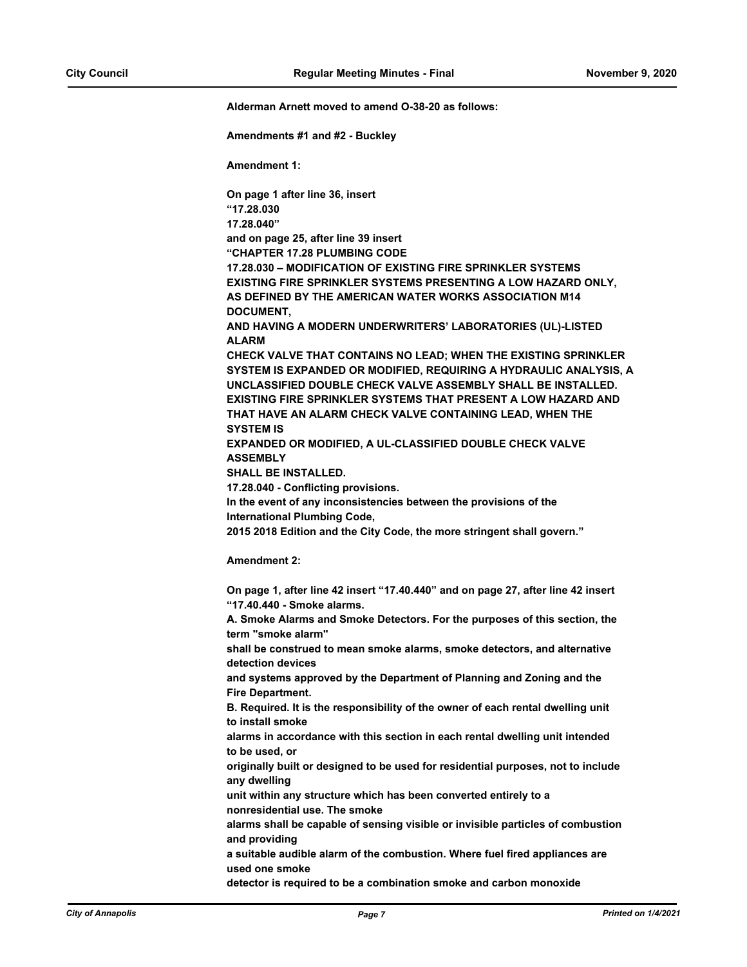**Alderman Arnett moved to amend O-38-20 as follows:** 

**Amendments #1 and #2 - Buckley**

**Amendment 1:**

**On page 1 after line 36, insert "17.28.030 17.28.040" and on page 25, after line 39 insert "CHAPTER 17.28 PLUMBING CODE 17.28.030 – MODIFICATION OF EXISTING FIRE SPRINKLER SYSTEMS EXISTING FIRE SPRINKLER SYSTEMS PRESENTING A LOW HAZARD ONLY, AS DEFINED BY THE AMERICAN WATER WORKS ASSOCIATION M14 DOCUMENT, AND HAVING A MODERN UNDERWRITERS' LABORATORIES (UL)-LISTED ALARM CHECK VALVE THAT CONTAINS NO LEAD; WHEN THE EXISTING SPRINKLER SYSTEM IS EXPANDED OR MODIFIED, REQUIRING A HYDRAULIC ANALYSIS, A UNCLASSIFIED DOUBLE CHECK VALVE ASSEMBLY SHALL BE INSTALLED. EXISTING FIRE SPRINKLER SYSTEMS THAT PRESENT A LOW HAZARD AND THAT HAVE AN ALARM CHECK VALVE CONTAINING LEAD, WHEN THE SYSTEM IS EXPANDED OR MODIFIED, A UL-CLASSIFIED DOUBLE CHECK VALVE ASSEMBLY SHALL BE INSTALLED. 17.28.040 - Conflicting provisions. In the event of any inconsistencies between the provisions of the International Plumbing Code, 2015 2018 Edition and the City Code, the more stringent shall govern." Amendment 2: On page 1, after line 42 insert "17.40.440" and on page 27, after line 42 insert "17.40.440 - Smoke alarms. A. Smoke Alarms and Smoke Detectors. For the purposes of this section, the term "smoke alarm" shall be construed to mean smoke alarms, smoke detectors, and alternative detection devices and systems approved by the Department of Planning and Zoning and the Fire Department. B. Required. It is the responsibility of the owner of each rental dwelling unit to install smoke alarms in accordance with this section in each rental dwelling unit intended to be used, or originally built or designed to be used for residential purposes, not to include any dwelling unit within any structure which has been converted entirely to a nonresidential use. The smoke alarms shall be capable of sensing visible or invisible particles of combustion and providing a suitable audible alarm of the combustion. Where fuel fired appliances are used one smoke detector is required to be a combination smoke and carbon monoxide**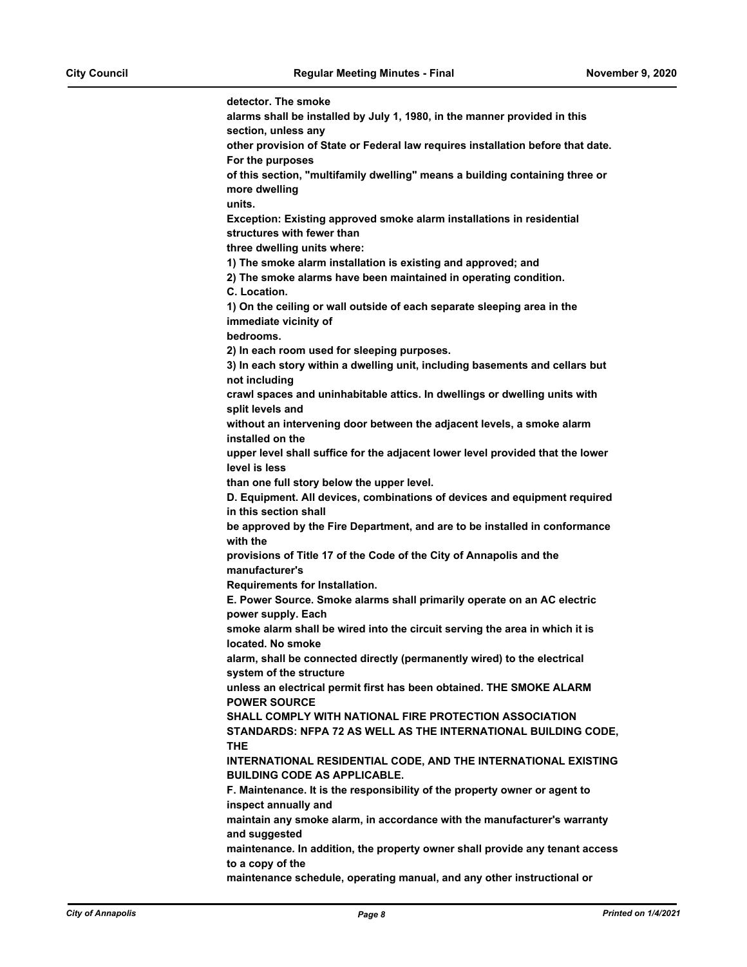**detector. The smoke alarms shall be installed by July 1, 1980, in the manner provided in this section, unless any other provision of State or Federal law requires installation before that date. For the purposes of this section, "multifamily dwelling" means a building containing three or more dwelling units. Exception: Existing approved smoke alarm installations in residential structures with fewer than three dwelling units where: 1) The smoke alarm installation is existing and approved; and 2) The smoke alarms have been maintained in operating condition. C. Location. 1) On the ceiling or wall outside of each separate sleeping area in the immediate vicinity of bedrooms. 2) In each room used for sleeping purposes. 3) In each story within a dwelling unit, including basements and cellars but not including crawl spaces and uninhabitable attics. In dwellings or dwelling units with split levels and without an intervening door between the adjacent levels, a smoke alarm installed on the upper level shall suffice for the adjacent lower level provided that the lower level is less than one full story below the upper level. D. Equipment. All devices, combinations of devices and equipment required in this section shall be approved by the Fire Department, and are to be installed in conformance with the provisions of Title 17 of the Code of the City of Annapolis and the manufacturer's Requirements for Installation. E. Power Source. Smoke alarms shall primarily operate on an AC electric power supply. Each smoke alarm shall be wired into the circuit serving the area in which it is located. No smoke alarm, shall be connected directly (permanently wired) to the electrical system of the structure unless an electrical permit first has been obtained. THE SMOKE ALARM POWER SOURCE SHALL COMPLY WITH NATIONAL FIRE PROTECTION ASSOCIATION STANDARDS: NFPA 72 AS WELL AS THE INTERNATIONAL BUILDING CODE, THE INTERNATIONAL RESIDENTIAL CODE, AND THE INTERNATIONAL EXISTING BUILDING CODE AS APPLICABLE. F. Maintenance. It is the responsibility of the property owner or agent to inspect annually and maintain any smoke alarm, in accordance with the manufacturer's warranty and suggested maintenance. In addition, the property owner shall provide any tenant access to a copy of the maintenance schedule, operating manual, and any other instructional or**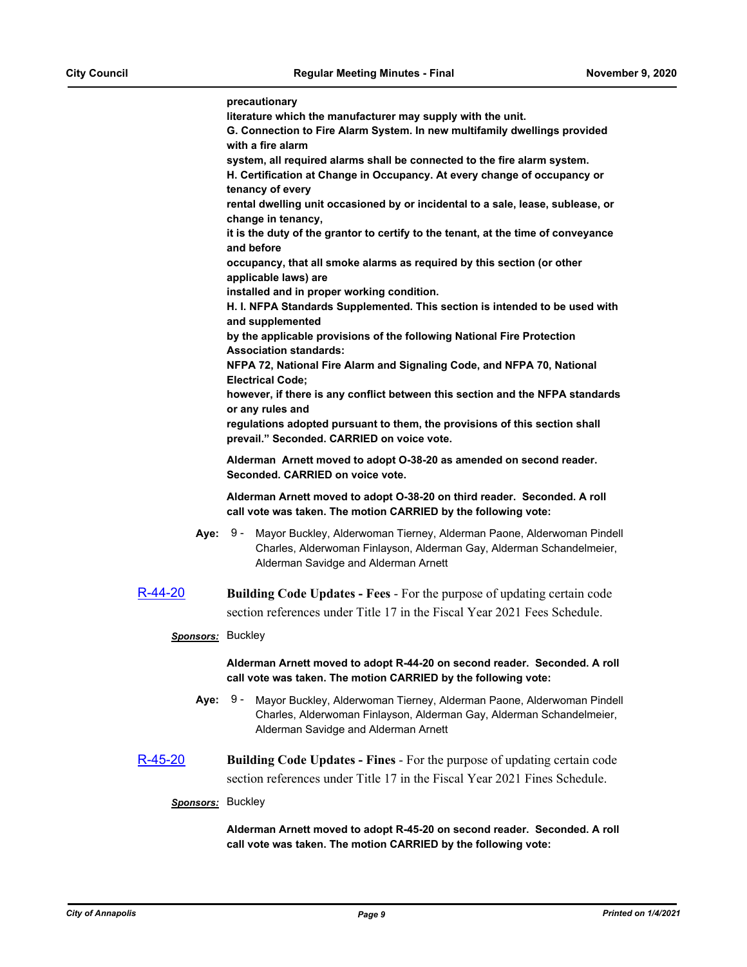|                   | precautionary<br>literature which the manufacturer may supply with the unit.<br>G. Connection to Fire Alarm System. In new multifamily dwellings provided<br>with a fire alarm<br>system, all required alarms shall be connected to the fire alarm system.<br>H. Certification at Change in Occupancy. At every change of occupancy or<br>tenancy of every<br>rental dwelling unit occasioned by or incidental to a sale, lease, sublease, or<br>change in tenancy,<br>it is the duty of the grantor to certify to the tenant, at the time of conveyance<br>and before<br>occupancy, that all smoke alarms as required by this section (or other<br>applicable laws) are<br>installed and in proper working condition.<br>H. I. NFPA Standards Supplemented. This section is intended to be used with<br>and supplemented |
|-------------------|---------------------------------------------------------------------------------------------------------------------------------------------------------------------------------------------------------------------------------------------------------------------------------------------------------------------------------------------------------------------------------------------------------------------------------------------------------------------------------------------------------------------------------------------------------------------------------------------------------------------------------------------------------------------------------------------------------------------------------------------------------------------------------------------------------------------------|
|                   | by the applicable provisions of the following National Fire Protection<br><b>Association standards:</b><br>NFPA 72, National Fire Alarm and Signaling Code, and NFPA 70, National<br><b>Electrical Code;</b>                                                                                                                                                                                                                                                                                                                                                                                                                                                                                                                                                                                                              |
|                   | however, if there is any conflict between this section and the NFPA standards<br>or any rules and<br>regulations adopted pursuant to them, the provisions of this section shall<br>prevail." Seconded. CARRIED on voice vote.                                                                                                                                                                                                                                                                                                                                                                                                                                                                                                                                                                                             |
|                   | Alderman Arnett moved to adopt O-38-20 as amended on second reader.<br>Seconded, CARRIED on voice vote.                                                                                                                                                                                                                                                                                                                                                                                                                                                                                                                                                                                                                                                                                                                   |
|                   | Alderman Arnett moved to adopt O-38-20 on third reader. Seconded. A roll<br>call vote was taken. The motion CARRIED by the following vote:                                                                                                                                                                                                                                                                                                                                                                                                                                                                                                                                                                                                                                                                                |
| <b>Aye: 9 -</b>   | Mayor Buckley, Alderwoman Tierney, Alderman Paone, Alderwoman Pindell<br>Charles, Alderwoman Finlayson, Alderman Gay, Alderman Schandelmeier,<br>Alderman Savidge and Alderman Arnett                                                                                                                                                                                                                                                                                                                                                                                                                                                                                                                                                                                                                                     |
| R-44-20           | <b>Building Code Updates - Fees - For the purpose of updating certain code</b>                                                                                                                                                                                                                                                                                                                                                                                                                                                                                                                                                                                                                                                                                                                                            |
|                   | section references under Title 17 in the Fiscal Year 2021 Fees Schedule.                                                                                                                                                                                                                                                                                                                                                                                                                                                                                                                                                                                                                                                                                                                                                  |
| Sponsors: Buckley |                                                                                                                                                                                                                                                                                                                                                                                                                                                                                                                                                                                                                                                                                                                                                                                                                           |
|                   | Alderman Arnett moved to adopt R-44-20 on second reader. Seconded. A roll<br>call vote was taken. The motion CARRIED by the following vote:                                                                                                                                                                                                                                                                                                                                                                                                                                                                                                                                                                                                                                                                               |
| Aye:              | 9 -<br>Mayor Buckley, Alderwoman Tierney, Alderman Paone, Alderwoman Pindell<br>Charles, Alderwoman Finlayson, Alderman Gay, Alderman Schandelmeier,<br>Alderman Savidge and Alderman Arnett                                                                                                                                                                                                                                                                                                                                                                                                                                                                                                                                                                                                                              |
| <u>R-45-20</u>    | <b>Building Code Updates - Fines - For the purpose of updating certain code</b>                                                                                                                                                                                                                                                                                                                                                                                                                                                                                                                                                                                                                                                                                                                                           |
|                   | section references under Title 17 in the Fiscal Year 2021 Fines Schedule.                                                                                                                                                                                                                                                                                                                                                                                                                                                                                                                                                                                                                                                                                                                                                 |
| Sponsors: Buckley |                                                                                                                                                                                                                                                                                                                                                                                                                                                                                                                                                                                                                                                                                                                                                                                                                           |
|                   | Alderman Arnett moved to adopt R-45-20 on second reader. Seconded. A roll<br>call vote was taken. The motion CARRIED by the following vote:                                                                                                                                                                                                                                                                                                                                                                                                                                                                                                                                                                                                                                                                               |
|                   |                                                                                                                                                                                                                                                                                                                                                                                                                                                                                                                                                                                                                                                                                                                                                                                                                           |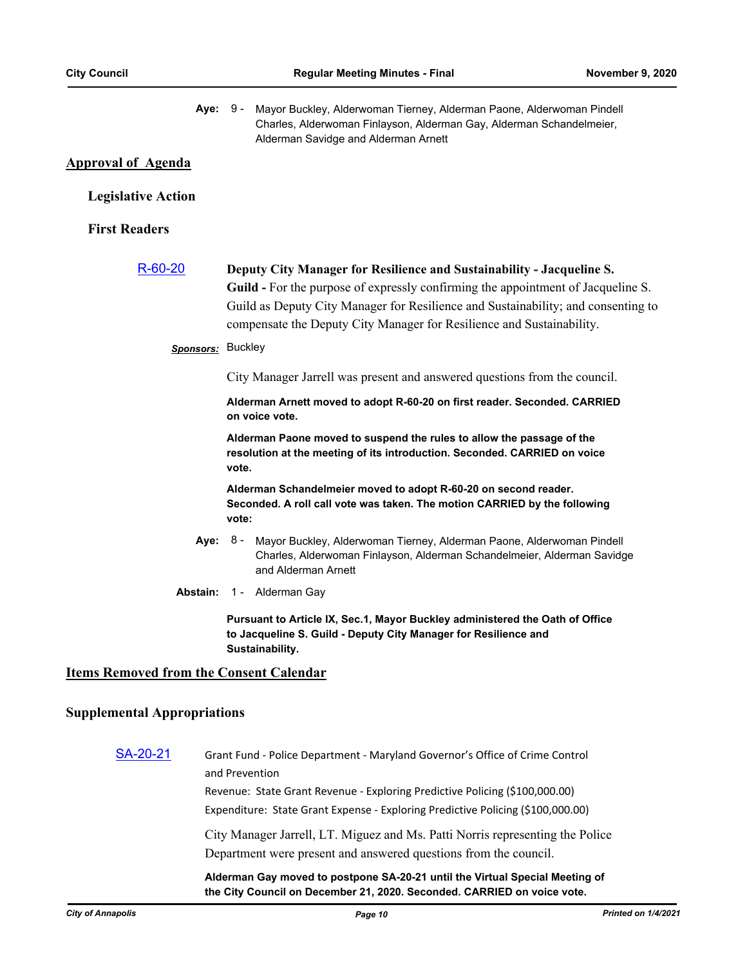| Aye:                                           | 9 - Mayor Buckley, Alderwoman Tierney, Alderman Paone, Alderwoman Pindell<br>Charles, Alderwoman Finlayson, Alderman Gay, Alderman Schandelmeier,<br>Alderman Savidge and Alderman Arnett                                                                                                                                      |
|------------------------------------------------|--------------------------------------------------------------------------------------------------------------------------------------------------------------------------------------------------------------------------------------------------------------------------------------------------------------------------------|
| <b>Approval of Agenda</b>                      |                                                                                                                                                                                                                                                                                                                                |
| <b>Legislative Action</b>                      |                                                                                                                                                                                                                                                                                                                                |
| <b>First Readers</b>                           |                                                                                                                                                                                                                                                                                                                                |
| $R - 60 - 20$                                  | Deputy City Manager for Resilience and Sustainability - Jacqueline S.<br><b>Guild</b> - For the purpose of expressly confirming the appointment of Jacqueline S.<br>Guild as Deputy City Manager for Resilience and Sustainability; and consenting to<br>compensate the Deputy City Manager for Resilience and Sustainability. |
|                                                | Sponsors: Buckley                                                                                                                                                                                                                                                                                                              |
|                                                | City Manager Jarrell was present and answered questions from the council.                                                                                                                                                                                                                                                      |
|                                                | Alderman Arnett moved to adopt R-60-20 on first reader. Seconded. CARRIED<br>on voice vote.                                                                                                                                                                                                                                    |
|                                                | Alderman Paone moved to suspend the rules to allow the passage of the<br>resolution at the meeting of its introduction. Seconded. CARRIED on voice<br>vote.                                                                                                                                                                    |
|                                                | Alderman Schandelmeier moved to adopt R-60-20 on second reader.<br>Seconded. A roll call vote was taken. The motion CARRIED by the following<br>vote:                                                                                                                                                                          |
| Aye:                                           | Mayor Buckley, Alderwoman Tierney, Alderman Paone, Alderwoman Pindell<br>8 -<br>Charles, Alderwoman Finlayson, Alderman Schandelmeier, Alderman Savidge<br>and Alderman Arnett                                                                                                                                                 |
| Abstain:                                       | 1 - Alderman Gay                                                                                                                                                                                                                                                                                                               |
|                                                | Pursuant to Article IX, Sec.1, Mayor Buckley administered the Oath of Office<br>to Jacqueline S. Guild - Deputy City Manager for Resilience and<br>Sustainability.                                                                                                                                                             |
| <b>Items Removed from the Consent Calendar</b> |                                                                                                                                                                                                                                                                                                                                |
| <b>Supplemental Appropriations</b>             |                                                                                                                                                                                                                                                                                                                                |
| SA-20-21                                       | Grant Fund - Police Department - Maryland Governor's Office of Crime Control<br>and Prevention                                                                                                                                                                                                                                 |
|                                                | Revenue: State Grant Revenue - Exploring Predictive Policing (\$100,000.00)<br>Expenditure: State Grant Expense - Exploring Predictive Policing (\$100,000.00)                                                                                                                                                                 |
|                                                | City Manager Jarrell, LT. Miguez and Ms. Patti Norris representing the Police<br>Department were present and answered questions from the council.                                                                                                                                                                              |
|                                                | Alderman Gay moved to postpone SA-20-21 until the Virtual Special Meeting of<br>the City Council on December 21, 2020. Seconded. CARRIED on voice vote.                                                                                                                                                                        |